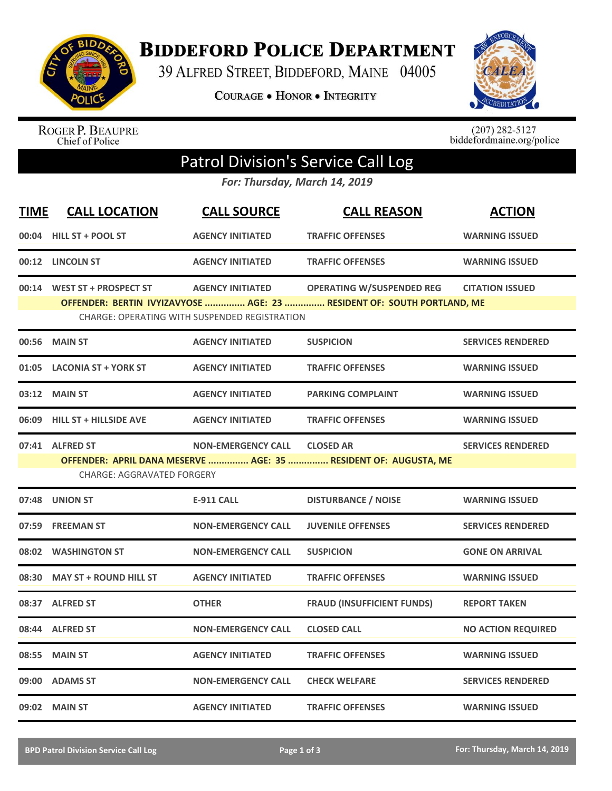

**BIDDEFORD POLICE DEPARTMENT** 

39 ALFRED STREET, BIDDEFORD, MAINE 04005

**COURAGE . HONOR . INTEGRITY** 



ROGER P. BEAUPRE<br>Chief of Police

 $(207)$  282-5127<br>biddefordmaine.org/police

## Patrol Division's Service Call Log

*For: Thursday, March 14, 2019*

| <b>TIME</b> | <b>CALL LOCATION</b>                                                                                                           | <b>CALL SOURCE</b>        | <b>CALL REASON</b>                                              | <b>ACTION</b>             |  |  |  |
|-------------|--------------------------------------------------------------------------------------------------------------------------------|---------------------------|-----------------------------------------------------------------|---------------------------|--|--|--|
|             | 00:04 HILL ST + POOL ST                                                                                                        | <b>AGENCY INITIATED</b>   | <b>TRAFFIC OFFENSES</b>                                         | <b>WARNING ISSUED</b>     |  |  |  |
|             | 00:12 LINCOLN ST                                                                                                               | <b>AGENCY INITIATED</b>   | <b>TRAFFIC OFFENSES</b>                                         | <b>WARNING ISSUED</b>     |  |  |  |
|             | 00:14 WEST ST + PROSPECT ST                                                                                                    | <b>AGENCY INITIATED</b>   | <b>OPERATING W/SUSPENDED REG</b>                                | <b>CITATION ISSUED</b>    |  |  |  |
|             | OFFENDER: BERTIN IVYIZAVYOSE  AGE: 23  RESIDENT OF: SOUTH PORTLAND, ME<br><b>CHARGE: OPERATING WITH SUSPENDED REGISTRATION</b> |                           |                                                                 |                           |  |  |  |
| 00:56       | <b>MAIN ST</b>                                                                                                                 | <b>AGENCY INITIATED</b>   | <b>SUSPICION</b>                                                | <b>SERVICES RENDERED</b>  |  |  |  |
| 01:05       | <b>LACONIA ST + YORK ST</b>                                                                                                    | <b>AGENCY INITIATED</b>   | <b>TRAFFIC OFFENSES</b>                                         | <b>WARNING ISSUED</b>     |  |  |  |
|             | 03:12 MAIN ST                                                                                                                  | <b>AGENCY INITIATED</b>   | <b>PARKING COMPLAINT</b>                                        | <b>WARNING ISSUED</b>     |  |  |  |
|             | 06:09 HILL ST + HILLSIDE AVE                                                                                                   | <b>AGENCY INITIATED</b>   | <b>TRAFFIC OFFENSES</b>                                         | <b>WARNING ISSUED</b>     |  |  |  |
|             | 07:41 ALFRED ST                                                                                                                | <b>NON-EMERGENCY CALL</b> | <b>CLOSED AR</b>                                                | <b>SERVICES RENDERED</b>  |  |  |  |
|             |                                                                                                                                |                           | OFFENDER: APRIL DANA MESERVE  AGE: 35  RESIDENT OF: AUGUSTA, ME |                           |  |  |  |
|             | <b>CHARGE: AGGRAVATED FORGERY</b>                                                                                              |                           |                                                                 |                           |  |  |  |
|             | 07:48 UNION ST                                                                                                                 | <b>E-911 CALL</b>         | <b>DISTURBANCE / NOISE</b>                                      | <b>WARNING ISSUED</b>     |  |  |  |
|             | 07:59 FREEMAN ST                                                                                                               | <b>NON-EMERGENCY CALL</b> | <b>JUVENILE OFFENSES</b>                                        | <b>SERVICES RENDERED</b>  |  |  |  |
|             | 08:02 WASHINGTON ST                                                                                                            | <b>NON-EMERGENCY CALL</b> | <b>SUSPICION</b>                                                | <b>GONE ON ARRIVAL</b>    |  |  |  |
|             | 08:30 MAY ST + ROUND HILL ST                                                                                                   | <b>AGENCY INITIATED</b>   | <b>TRAFFIC OFFENSES</b>                                         | <b>WARNING ISSUED</b>     |  |  |  |
|             | 08:37 ALFRED ST                                                                                                                | <b>OTHER</b>              | <b>FRAUD (INSUFFICIENT FUNDS)</b>                               | <b>REPORT TAKEN</b>       |  |  |  |
|             | 08:44 ALFRED ST                                                                                                                | <b>NON-EMERGENCY CALL</b> | <b>CLOSED CALL</b>                                              | <b>NO ACTION REQUIRED</b> |  |  |  |
| 08:55       | <b>MAIN ST</b>                                                                                                                 | <b>AGENCY INITIATED</b>   | <b>TRAFFIC OFFENSES</b>                                         | <b>WARNING ISSUED</b>     |  |  |  |
|             | 09:00 ADAMS ST                                                                                                                 | <b>NON-EMERGENCY CALL</b> | <b>CHECK WELFARE</b>                                            | <b>SERVICES RENDERED</b>  |  |  |  |
|             | 09:02 MAIN ST                                                                                                                  | <b>AGENCY INITIATED</b>   | <b>TRAFFIC OFFENSES</b>                                         | <b>WARNING ISSUED</b>     |  |  |  |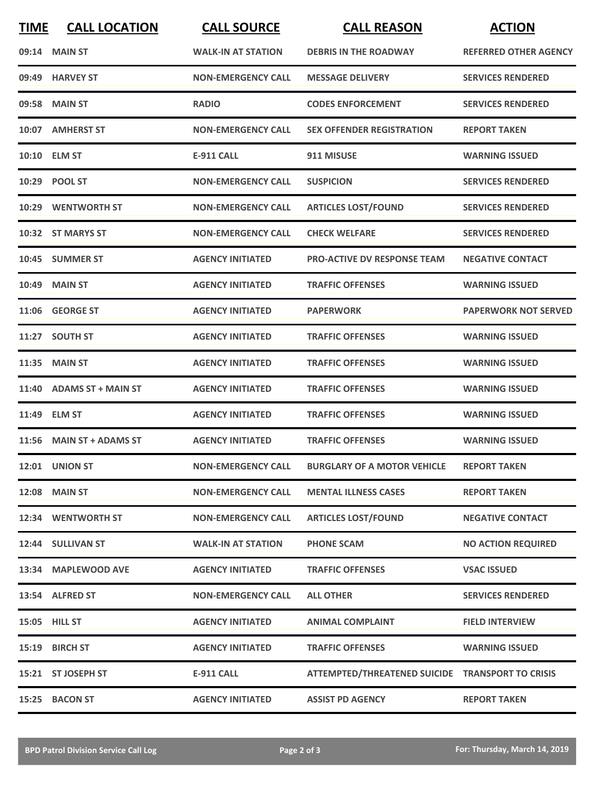| <b>TIME</b> | <b>CALL LOCATION</b>      | <b>CALL SOURCE</b>        | <b>CALL REASON</b>                               | <b>ACTION</b>                |
|-------------|---------------------------|---------------------------|--------------------------------------------------|------------------------------|
|             | 09:14 MAIN ST             | <b>WALK-IN AT STATION</b> | <b>DEBRIS IN THE ROADWAY</b>                     | <b>REFERRED OTHER AGENCY</b> |
|             | 09:49 HARVEY ST           | <b>NON-EMERGENCY CALL</b> | <b>MESSAGE DELIVERY</b>                          | <b>SERVICES RENDERED</b>     |
| 09:58       | <b>MAIN ST</b>            | <b>RADIO</b>              | <b>CODES ENFORCEMENT</b>                         | <b>SERVICES RENDERED</b>     |
|             | 10:07 AMHERST ST          | <b>NON-EMERGENCY CALL</b> | <b>SEX OFFENDER REGISTRATION</b>                 | <b>REPORT TAKEN</b>          |
|             | 10:10 ELM ST              | <b>E-911 CALL</b>         | 911 MISUSE                                       | <b>WARNING ISSUED</b>        |
|             | 10:29 POOL ST             | <b>NON-EMERGENCY CALL</b> | <b>SUSPICION</b>                                 | <b>SERVICES RENDERED</b>     |
|             | 10:29 WENTWORTH ST        | <b>NON-EMERGENCY CALL</b> | <b>ARTICLES LOST/FOUND</b>                       | <b>SERVICES RENDERED</b>     |
|             | 10:32 ST MARYS ST         | <b>NON-EMERGENCY CALL</b> | <b>CHECK WELFARE</b>                             | <b>SERVICES RENDERED</b>     |
|             | 10:45 SUMMER ST           | <b>AGENCY INITIATED</b>   | <b>PRO-ACTIVE DV RESPONSE TEAM</b>               | <b>NEGATIVE CONTACT</b>      |
|             | <b>10:49 MAIN ST</b>      | <b>AGENCY INITIATED</b>   | <b>TRAFFIC OFFENSES</b>                          | <b>WARNING ISSUED</b>        |
|             | 11:06 GEORGE ST           | <b>AGENCY INITIATED</b>   | <b>PAPERWORK</b>                                 | <b>PAPERWORK NOT SERVED</b>  |
|             | 11:27 SOUTH ST            | <b>AGENCY INITIATED</b>   | <b>TRAFFIC OFFENSES</b>                          | <b>WARNING ISSUED</b>        |
| 11:35       | <b>MAIN ST</b>            | <b>AGENCY INITIATED</b>   | <b>TRAFFIC OFFENSES</b>                          | <b>WARNING ISSUED</b>        |
| 11:40       | <b>ADAMS ST + MAIN ST</b> | <b>AGENCY INITIATED</b>   | <b>TRAFFIC OFFENSES</b>                          | <b>WARNING ISSUED</b>        |
| 11:49       | <b>ELM ST</b>             | <b>AGENCY INITIATED</b>   | <b>TRAFFIC OFFENSES</b>                          | <b>WARNING ISSUED</b>        |
|             | 11:56 MAIN ST + ADAMS ST  | <b>AGENCY INITIATED</b>   | <b>TRAFFIC OFFENSES</b>                          | <b>WARNING ISSUED</b>        |
|             | <b>12:01 UNION ST</b>     | <b>NON-EMERGENCY CALL</b> | <b>BURGLARY OF A MOTOR VEHICLE</b>               | <b>REPORT TAKEN</b>          |
|             | <b>12:08 MAIN ST</b>      | <b>NON-EMERGENCY CALL</b> | <b>MENTAL ILLNESS CASES</b>                      | <b>REPORT TAKEN</b>          |
|             | 12:34 WENTWORTH ST        | <b>NON-EMERGENCY CALL</b> | <b>ARTICLES LOST/FOUND</b>                       | <b>NEGATIVE CONTACT</b>      |
|             | 12:44 SULLIVAN ST         | <b>WALK-IN AT STATION</b> | <b>PHONE SCAM</b>                                | <b>NO ACTION REQUIRED</b>    |
|             | 13:34 MAPLEWOOD AVE       | <b>AGENCY INITIATED</b>   | <b>TRAFFIC OFFENSES</b>                          | <b>VSAC ISSUED</b>           |
|             | 13:54 ALFRED ST           | <b>NON-EMERGENCY CALL</b> | <b>ALL OTHER</b>                                 | <b>SERVICES RENDERED</b>     |
|             | 15:05 HILL ST             | <b>AGENCY INITIATED</b>   | <b>ANIMAL COMPLAINT</b>                          | <b>FIELD INTERVIEW</b>       |
|             | 15:19 BIRCH ST            | <b>AGENCY INITIATED</b>   | <b>TRAFFIC OFFENSES</b>                          | <b>WARNING ISSUED</b>        |
|             | 15:21 ST JOSEPH ST        | <b>E-911 CALL</b>         | ATTEMPTED/THREATENED SUICIDE TRANSPORT TO CRISIS |                              |
|             | 15:25 BACON ST            | <b>AGENCY INITIATED</b>   | <b>ASSIST PD AGENCY</b>                          | <b>REPORT TAKEN</b>          |